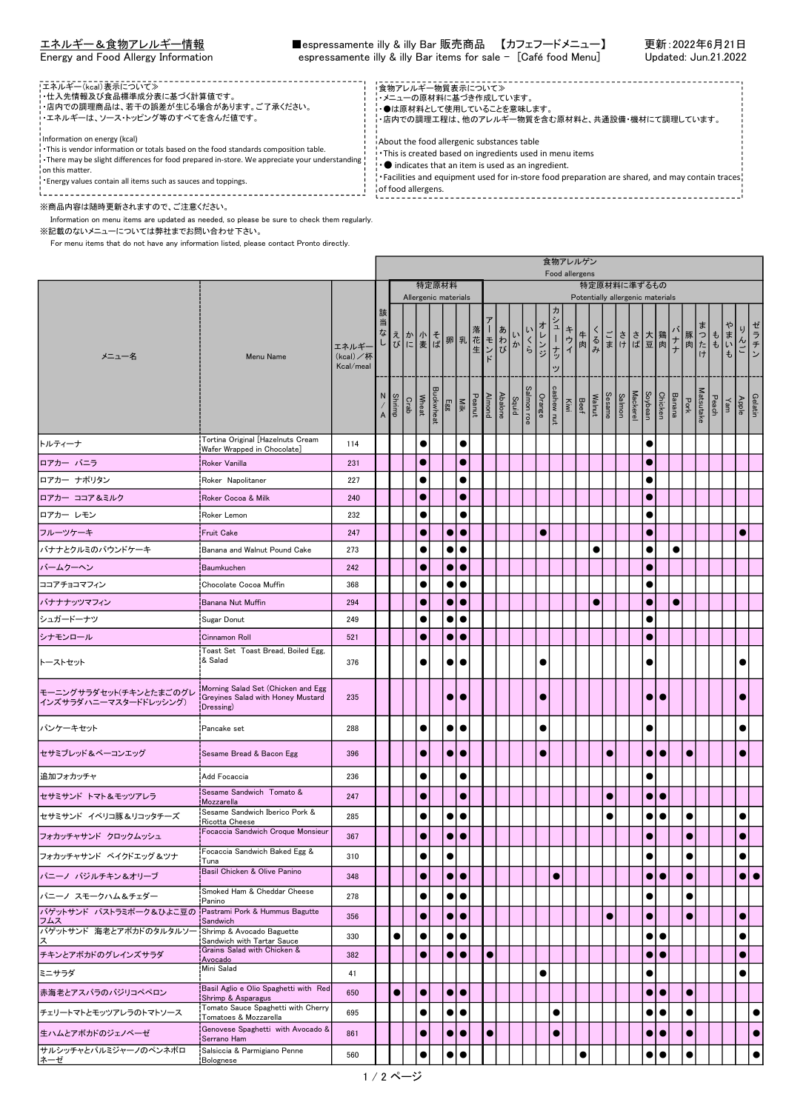<u>エネルギー&食物アレルギー情報</u> ■espressamente illy & illy Bar 販売商品 【カフェフードメニュー】 更新 : 2022年6月21日<br>Energy and Food Allergy Information espressamente illy & illy Bar items for sale -[Café food Menu] Updated: Jun.21.2022 Entergy and Food Menu Information espressamente illy & illy Bar items for sale - [Café food Menu]

| !エネルギー(kcal)表示について≫<br>・仕入先情報及び食品標準成分表に基づく計算値です。<br>・店内での調理商品は、若干の誤差が生じる場合があります。ご了承ください。<br>・エネルギーは、ソース・トッピング等のすべてを含んだ値です。                                                                                                                                                                                       | !食物アレルギー物質表示について》<br>・メニューの原材料に基づき作成しています。<br>•●は原材料として使用していることを意味します。<br>- ・店内での調理工程は、他のアレルギー物質を含む原材料と、共通設備・機材にて調理しています。                                                                                                                                                                                      |  |
|------------------------------------------------------------------------------------------------------------------------------------------------------------------------------------------------------------------------------------------------------------------------------------------------------------------|----------------------------------------------------------------------------------------------------------------------------------------------------------------------------------------------------------------------------------------------------------------------------------------------------------------|--|
| i Information on energy (kcal)<br>. This is vendor information or totals based on the food standards composition table.<br>. There may be slight differences for food prepared in-store. We appreciate your understanding !<br>i on this matter.<br>Energy values contain all items such as sauces and toppings. | About the food allergenic substances table<br>. This is created based on ingredients used in menu items<br>$\cdot$ $\bullet$ indicates that an item is used as an ingredient.<br>$\cdot$ Facilities and equipment used for in-store food preparation are shared, and may contain traces.<br>of food allergens. |  |

'n

※商品内容は随時更新されますので、ご注意ください。

 Information on menu items are updated as needed, so please be sure to check them regularly. ※記載のないメニューについては弊社までお問い合わせ下さい。

For menu items that do not have any information listed, please contact Pronto directly.

|                                                              |                                                                                      |                               |                                                                                                    |               |      |              |  |                                                            |                  |           |                  |            |  |                     |               | 食物アレルゲン                                                                |           |           |           |                 |           |                  |           |                            |  |                         |                 |  |
|--------------------------------------------------------------|--------------------------------------------------------------------------------------|-------------------------------|----------------------------------------------------------------------------------------------------|---------------|------|--------------|--|------------------------------------------------------------|------------------|-----------|------------------|------------|--|---------------------|---------------|------------------------------------------------------------------------|-----------|-----------|-----------|-----------------|-----------|------------------|-----------|----------------------------|--|-------------------------|-----------------|--|
|                                                              |                                                                                      |                               | Food allergens<br>特定原材料<br>特定原材料に準ずるもの<br>Allergenic materials<br>Potentially allergenic materials |               |      |              |  |                                                            |                  |           |                  |            |  |                     |               |                                                                        |           |           |           |                 |           |                  |           |                            |  |                         |                 |  |
|                                                              |                                                                                      |                               |                                                                                                    |               |      |              |  |                                                            |                  |           |                  |            |  |                     |               |                                                                        |           |           |           |                 |           |                  |           |                            |  |                         |                 |  |
| メニュー名                                                        | Menu Name                                                                            | エネルギ<br>(kcal)/杯<br>Kcal/meal | 該                                                                                                  |               |      |              |  | ※<br>当えかできば<br>しびに麦ば卵乳花モンド<br>→ インドリーズ<br>Egg<br>Buckwheat | <b>Nik</b>       |           |                  | <b>あわび</b> |  | いいくら                | オレンジ          | 刀<br>シュ<br>ーナッ<br>ッ                                                    | キウイ<br>牛肉 | くるみ       |           | ごささ大鶏           |           |                  | バナナ       | 豚肉け                        |  | まい<br>$\ddot{\text{t}}$ | りんご<br>ラチン      |  |
|                                                              |                                                                                      |                               | A                                                                                                  | <b>Shrimp</b> | Crab | <b>Wheat</b> |  |                                                            |                  |           | Almond<br>Peanut | Abalone    |  | Salmon roe<br>Squid | <b>Orange</b> | Salmon<br>Walnut<br>Walnut<br>Beef<br>Kiwi<br>Cashew nut<br>Cashew nut |           |           |           | <b>Mackerel</b> | Soybean   | Chicken          | Banana    | Peach<br>Matsutake<br>Pork |  | Apple<br>Yam            | Gelatin         |  |
| トルティーナ                                                       | Tortina Original [Hazelnuts Cream<br>Wafer Wrapped in Chocolate]                     | 114                           |                                                                                                    |               |      | $\bullet$    |  |                                                            |                  | $\bullet$ |                  |            |  |                     |               |                                                                        |           |           |           |                 |           |                  |           |                            |  |                         |                 |  |
| ロアカー バニラ                                                     | <b>Roker Vanilla</b>                                                                 | 231                           |                                                                                                    |               |      | $\bullet$    |  |                                                            |                  | $\bullet$ |                  |            |  |                     |               |                                                                        |           |           |           |                 | $\bullet$ |                  |           |                            |  |                         |                 |  |
| ロアカー ナポリタン                                                   | Roker Napolitaner                                                                    | 227                           |                                                                                                    |               |      | $\bullet$    |  |                                                            |                  | $\bullet$ |                  |            |  |                     |               |                                                                        |           |           |           |                 | $\bullet$ |                  |           |                            |  |                         |                 |  |
| ロアカー ココア&ミルク                                                 | Roker Cocoa & Milk                                                                   | 240                           |                                                                                                    |               |      | $\bullet$    |  |                                                            |                  | $\bullet$ |                  |            |  |                     |               |                                                                        |           |           |           |                 |           |                  |           |                            |  |                         |                 |  |
| ロアカー レモン                                                     | Roker Lemon                                                                          | 232                           |                                                                                                    |               |      | $\bullet$    |  |                                                            |                  |           |                  |            |  |                     |               |                                                                        |           |           |           |                 | 0         |                  |           |                            |  |                         |                 |  |
| フルーツケーキ                                                      | Fruit Cake!                                                                          | 247                           |                                                                                                    |               |      | $\bullet$    |  | $\bullet$                                                  |                  | $\bullet$ |                  |            |  |                     | $\bullet$     |                                                                        |           |           |           |                 | $\bullet$ |                  |           |                            |  |                         | $\bullet$       |  |
| バナナとクルミのパウンドケーキ                                              | Banana and Walnut Pound Cake                                                         | 273                           |                                                                                                    |               |      | $\bullet$    |  | $\bullet$                                                  |                  | $\bullet$ |                  |            |  |                     |               |                                                                        |           |           |           |                 | $\bullet$ |                  | $\bullet$ |                            |  |                         |                 |  |
| バームクーヘン                                                      | Baumkuchen                                                                           | 242                           |                                                                                                    |               |      | $\bullet$    |  | $\bullet$                                                  |                  | $\bullet$ |                  |            |  |                     |               |                                                                        |           |           |           |                 | $\bullet$ |                  |           |                            |  |                         |                 |  |
| ココアチョコマフィン                                                   | Chocolate Cocoa Muffin                                                               | 368                           |                                                                                                    |               |      | $\bullet$    |  |                                                            |                  | $\bullet$ |                  |            |  |                     |               |                                                                        |           |           |           |                 |           |                  |           |                            |  |                         |                 |  |
| バナナナッツマフィン                                                   | Banana Nut Muffin                                                                    | 294                           |                                                                                                    |               |      | $\bullet$    |  | $\bullet$                                                  |                  | $\bullet$ |                  |            |  |                     |               |                                                                        |           | $\bullet$ |           |                 | 0         |                  | 0         |                            |  |                         |                 |  |
| シュガードーナツ                                                     | Sugar Donut                                                                          | 249                           |                                                                                                    |               |      | $\bullet$    |  | $\bullet$                                                  |                  | $\bullet$ |                  |            |  |                     |               |                                                                        |           |           |           |                 | $\bullet$ |                  |           |                            |  |                         |                 |  |
| シナモンロール                                                      | <b>Cinnamon Roll</b>                                                                 | 521                           |                                                                                                    |               |      | $\bullet$    |  | $\bullet$                                                  |                  | $\bullet$ |                  |            |  |                     |               |                                                                        |           |           |           |                 | 0         |                  |           |                            |  |                         |                 |  |
| トーストセット                                                      | Toast Set Toast Bread, Boiled Egg,<br>& Salad                                        | 376                           |                                                                                                    |               |      | $\bullet$    |  | $\bullet$                                                  | $\bullet$        |           |                  |            |  |                     | $\bullet$     |                                                                        |           |           |           |                 |           |                  |           |                            |  |                         |                 |  |
| モーニングサラダセット(チキンとたまごのグレ<br>インズサラダハニーマスタードドレッシング)              | Morning Salad Set (Chicken and Egg<br>Greyines Salad with Honey Mustard<br>Dressing) | 235                           |                                                                                                    |               |      |              |  | $\bullet$                                                  | $\bullet$        |           |                  |            |  |                     | $\bullet$     |                                                                        |           |           |           |                 |           | $\bullet\bullet$ |           |                            |  |                         | $\bullet$       |  |
| パンケーキセット                                                     | Pancake set                                                                          | 288                           |                                                                                                    |               |      | $\bullet$    |  | $\bullet$                                                  |                  | $\bullet$ |                  |            |  |                     | $\bullet$     |                                                                        |           |           |           |                 | $\bullet$ |                  |           |                            |  |                         |                 |  |
| セサミブレッド&ベーコンエッグ                                              | Sesame Bread & Bacon Egg                                                             | 396                           |                                                                                                    |               |      | $\bullet$    |  |                                                            | $\bullet\bullet$ |           |                  |            |  |                     | $\bullet$     |                                                                        |           |           | $\bullet$ |                 |           | $\bullet\bullet$ |           | $\bullet$                  |  |                         | $\bullet$       |  |
| 追加フォカッチャ                                                     | Add Focaccia                                                                         | 236                           |                                                                                                    |               |      | $\bullet$    |  |                                                            |                  | $\bullet$ |                  |            |  |                     |               |                                                                        |           |           |           |                 | $\bullet$ |                  |           |                            |  |                         |                 |  |
| セサミサンド トマト&モッツアレラ                                            | Sesame Sandwich Tomato &<br>Mozzarella                                               | 247                           |                                                                                                    |               |      | $\bullet$    |  |                                                            |                  | $\bullet$ |                  |            |  |                     |               |                                                                        |           |           | $\bullet$ |                 |           | $\bullet\bullet$ |           |                            |  |                         |                 |  |
| セサミサンド イベリコ豚&リコッタチーズ                                         | Sesame Sandwich Iberico Pork &                                                       | 285                           |                                                                                                    |               |      | $\bullet$    |  | $\bullet$                                                  |                  |           |                  |            |  |                     |               |                                                                        |           |           |           |                 | $\bullet$ | $\bullet$        |           |                            |  |                         | $\bullet$       |  |
| フォカッチャサンド クロックムッシュ                                           | Ricotta Cheese<br>Focaccia Sandwich Croque Monsieur                                  | 367                           |                                                                                                    |               |      | $\bullet$    |  | $\bullet$                                                  |                  | $\bullet$ |                  |            |  |                     |               |                                                                        |           |           |           |                 | $\bullet$ |                  |           | $\bullet$                  |  |                         | $\bullet$       |  |
|                                                              | Focaccia Sandwich Baked Egg &                                                        |                               |                                                                                                    |               |      |              |  |                                                            |                  |           |                  |            |  |                     |               |                                                                        |           |           |           |                 |           |                  |           |                            |  |                         |                 |  |
| フォカッチャサンド ベイクドエッグ &ツナ                                        | Tuna<br>Basil Chicken & Olive Panino                                                 | 310                           |                                                                                                    |               |      | $\bullet$    |  | $\bullet$                                                  |                  |           |                  |            |  |                     |               |                                                                        |           |           |           |                 | $\bullet$ |                  |           | $\bullet$                  |  |                         | $\bullet$       |  |
| パニーノ バジルチキン&オリーブ                                             |                                                                                      | 348                           |                                                                                                    |               |      | $\bullet$    |  |                                                            | $\bullet\bullet$ |           |                  |            |  |                     |               | $\bullet$                                                              |           |           |           |                 |           | $\bullet\bullet$ |           | $\bullet$                  |  |                         | $\bullet\vdash$ |  |
| パニーノ スモークハム&チェダー                                             | Smoked Ham & Cheddar Cheese<br>Panino                                                | 278                           |                                                                                                    |               |      | $\bullet$    |  | $\bullet$                                                  | $\bullet$        |           |                  |            |  |                     |               |                                                                        |           |           |           |                 | $\bullet$ |                  |           | $\bullet$                  |  |                         |                 |  |
| バゲットサンド パストラミポーク&ひよこ豆の Pastrami Pork & Hummus Bagutte<br>フムス | Sandwich                                                                             | 356                           |                                                                                                    |               |      | $\bullet$    |  | $\bullet$                                                  | $\bullet$        |           |                  |            |  |                     |               |                                                                        |           |           | $\bullet$ |                 | $\bullet$ |                  |           | $\bullet$                  |  |                         | $\bullet$       |  |
| バゲットサンド 海老とアボカドのタルタルソー!Shrimp & Avocado Baguette<br>ス        | Sandwich with Tartar Sauce                                                           | 330                           |                                                                                                    | $\bullet$     |      | $\bullet$    |  | $\bullet$                                                  | $\bullet$        |           |                  |            |  |                     |               |                                                                        |           |           |           |                 |           | $\bullet\bullet$ |           |                            |  |                         | $\bullet$       |  |
| チキンとアボカドのグレインズサラダ                                            | Grains Salad with Chicken &<br>Avocado                                               | 382                           |                                                                                                    |               |      | $\bullet$    |  | $\bullet$                                                  | $\bullet$        |           | $\bullet$        |            |  |                     |               |                                                                        |           |           |           |                 |           | $\bullet\bullet$ |           |                            |  |                         | $\bullet$       |  |
| ミニサラダ                                                        | Mini Salad                                                                           | 41                            |                                                                                                    |               |      |              |  |                                                            |                  |           |                  |            |  |                     | $\bullet$     |                                                                        |           |           |           |                 | $\bullet$ |                  |           |                            |  |                         |                 |  |
| 赤海老とアスパラのバジリコペペロン                                            | Basil Aglio e Olio Spaghetti with Red<br>Shrimp & Asparagus                          | 650                           |                                                                                                    | $\bullet$     |      | $\bullet$    |  |                                                            | $\bullet\bullet$ |           |                  |            |  |                     |               |                                                                        |           |           |           |                 |           | $\bullet\bullet$ |           | $\bullet$                  |  |                         |                 |  |
| チェリートマトとモッツアレラのトマトソース                                        | Tomato Sauce Spaghetti with Cherry<br>Tomatoes & Mozzarella                          | 695                           |                                                                                                    |               |      | $\bullet$    |  | $\bullet$                                                  | $\bullet$        |           |                  |            |  |                     |               | $\bullet$                                                              |           |           |           |                 |           | $\bullet\bullet$ |           | $\bullet$                  |  |                         |                 |  |
| 生ハムとアボカドのジェノベーゼ                                              | Genovese Spaghetti with Avocado &<br>Serrano Ham                                     | 861                           |                                                                                                    |               |      | $\bullet$    |  | $\bullet$                                                  | $\bullet$        |           | $\bullet$        |            |  |                     |               | $\bullet$                                                              |           |           |           |                 |           | $\bullet\bullet$ |           | $\bullet$                  |  |                         | с               |  |
| サルシッチャとパルミジャーノのペンネボロ<br>ネーゼ                                  | Salsiccia & Parmigiano Penne<br>Bolognese                                            | 560                           |                                                                                                    |               |      | $\bullet$    |  | $\bullet$                                                  |                  |           |                  |            |  |                     |               |                                                                        |           |           |           |                 | $\bullet$ | $\bullet$        |           | $\bullet$                  |  |                         | $\bullet$       |  |